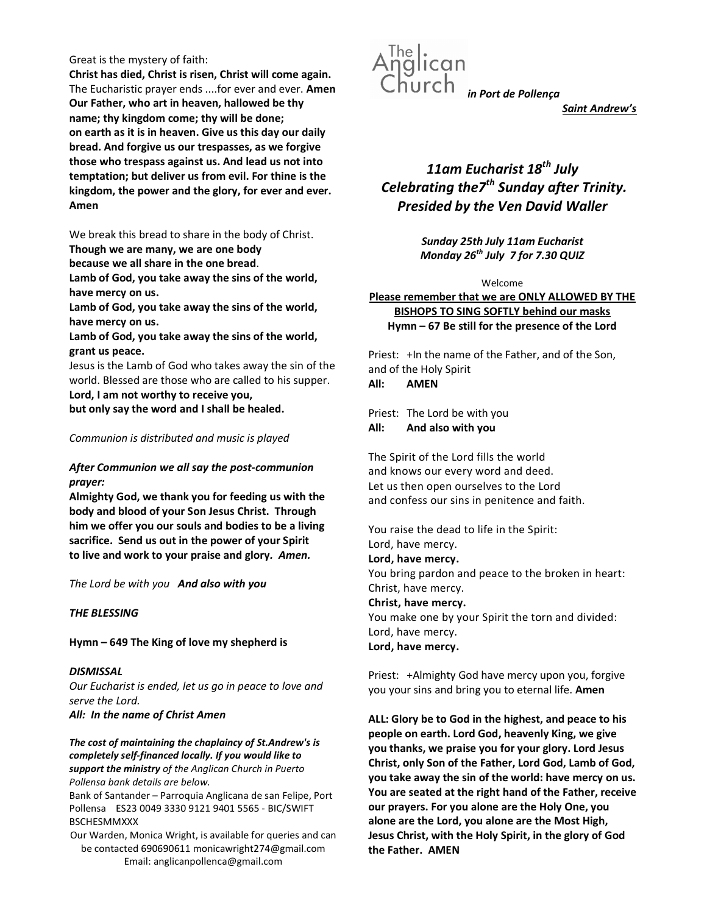#### Great is the mystery of faith:

Christ has died, Christ is risen, Christ will come again. The Eucharistic prayer ends ....for ever and ever. Amen Our Father, who art in heaven, hallowed be thy name; thy kingdom come; thy will be done; on earth as it is in heaven. Give us this day our daily bread. And forgive us our trespasses, as we forgive those who trespass against us. And lead us not into temptation; but deliver us from evil. For thine is the kingdom, the power and the glory, for ever and ever. Amen

We break this bread to share in the body of Christ.

Though we are many, we are one body

because we all share in the one bread.

Lamb of God, you take away the sins of the world, have mercy on us.

Lamb of God, you take away the sins of the world, have mercy on us.

Lamb of God, you take away the sins of the world, grant us peace.

Jesus is the Lamb of God who takes away the sin of the world. Blessed are those who are called to his supper. Lord, I am not worthy to receive you,

but only say the word and I shall be healed.

# Communion is distributed and music is played

# After Communion we all say the post-communion prayer:

Almighty God, we thank you for feeding us with the body and blood of your Son Jesus Christ. Through him we offer you our souls and bodies to be a living sacrifice. Send us out in the power of your Spirit to live and work to your praise and glory. Amen.

The Lord be with you And also with you

# THE BLESSING

Hymn – 649 The King of love my shepherd is

**DISMISSAL** Our Eucharist is ended, let us go in peace to love and serve the Lord.

All: In the name of Christ Amen

The cost of maintaining the chaplaincy of St.Andrew's is completely self-financed locally. If you would like to support the ministry of the Anglican Church in Puerto Pollensa bank details are below.

Bank of Santander – Parroquia Anglicana de san Felipe, Port Pollensa ES23 0049 3330 9121 9401 5565 - BIC/SWIFT BSCHESMMXXX

Our Warden, Monica Wright, is available for queries and can be contacted 690690611 monicawright274@gmail.com Email: anglicanpollenca@gmail.com



Saint Andrew's

# 11am Eucharist  $18^{th}$  July Celebrating the $Z^{th}$  Sunday after Trinity. Presided by the Ven David Waller

Sunday 25th July 11am Eucharist Monday  $26^{th}$  July 7 for 7.30 QUIZ

Welcome

Please remember that we are ONLY ALLOWED BY THE BISHOPS TO SING SOFTLY behind our masks Hymn – 67 Be still for the presence of the Lord

Priest: +In the name of the Father, and of the Son, and of the Holy Spirit All: AMEN

Priest: The Lord be with you All: And also with you

The Spirit of the Lord fills the world and knows our every word and deed. Let us then open ourselves to the Lord and confess our sins in penitence and faith.

You raise the dead to life in the Spirit: Lord, have mercy. Lord, have mercy. You bring pardon and peace to the broken in heart: Christ, have mercy. Christ, have mercy. You make one by your Spirit the torn and divided: Lord, have mercy. Lord, have mercy.

Priest: +Almighty God have mercy upon you, forgive you your sins and bring you to eternal life. Amen

ALL: Glory be to God in the highest, and peace to his people on earth. Lord God, heavenly King, we give you thanks, we praise you for your glory. Lord Jesus Christ, only Son of the Father, Lord God, Lamb of God, you take away the sin of the world: have mercy on us. You are seated at the right hand of the Father, receive our prayers. For you alone are the Holy One, you alone are the Lord, you alone are the Most High, Jesus Christ, with the Holy Spirit, in the glory of God the Father. AMEN